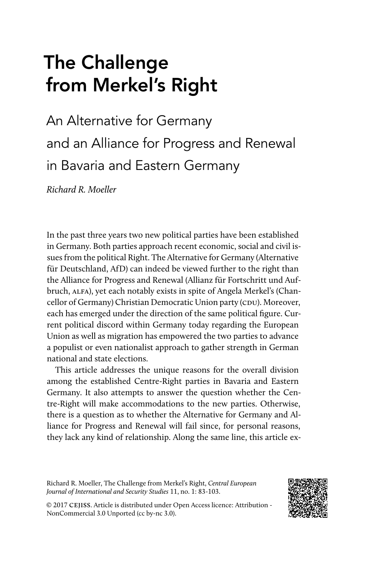# The Challenge from Merkel's Right

An Alternative for Germany and an Alliance for Progress and Renewal in Bavaria and Eastern Germany

*Richard R. Moeller*

In the past three years two new political parties have been established in Germany. Both parties approach recent economic, social and civil issues from the political Right. The Alternative for Germany (Alternative für Deutschland, AfD) can indeed be viewed further to the right than the Alliance for Progress and Renewal (Allianz für Fortschritt und Aufbruch, ALFA), yet each notably exists in spite of Angela Merkel's (Chancellor of Germany) Christian Democratic Union party (CDU). Moreover, each has emerged under the direction of the same political figure. Current political discord within Germany today regarding the European Union as well as migration has empowered the two parties to advance a populist or even nationalist approach to gather strength in German national and state elections.

This article addresses the unique reasons for the overall division among the established Centre-Right parties in Bavaria and Eastern Germany. It also attempts to answer the question whether the Centre-Right will make accommodations to the new parties. Otherwise, there is a question as to whether the Alternative for Germany and Alliance for Progress and Renewal will fail since, for personal reasons, they lack any kind of relationship. Along the same line, this article ex-

Richard R. Moeller, The Challenge from Merkel's Right, *Central European Journal of International and Security Studies* 11, no. 1: 83-103.



© 2017 cejiss. Article is distributed under Open Access licence: Attribution - NonCommercial 3.0 Unported (cc by-nc 3.0).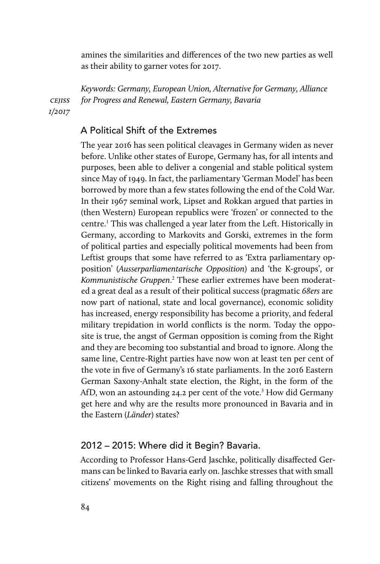amines the similarities and differences of the two new parties as well as their ability to garner votes for 2017.

*cejiss 1/2017 Keywords: Germany, European Union, Alternative for Germany, Alliance for Progress and Renewal, Eastern Germany, Bavaria*

# A Political Shift of the Extremes

The year 2016 has seen political cleavages in Germany widen as never before. Unlike other states of Europe, Germany has, for all intents and purposes, been able to deliver a congenial and stable political system since May of 1949. In fact, the parliamentary 'German Model' has been borrowed by more than a few states following the end of the Cold War. In their 1967 seminal work, Lipset and Rokkan argued that parties in (then Western) European republics were 'frozen' or connected to the centre.<sup>1</sup> This was challenged a year later from the Left. Historically in Germany, according to Markovits and Gorski, extremes in the form of political parties and especially political movements had been from Leftist groups that some have referred to as 'Extra parliamentary opposition' (*Ausserparliamentarische Opposition*) and 'the K-groups', or *Kommunistische Gruppen*. 2 These earlier extremes have been moderated a great deal as a result of their political success (pragmatic *68ers* are now part of national, state and local governance), economic solidity has increased, energy responsibility has become a priority, and federal military trepidation in world conflicts is the norm. Today the opposite is true, the angst of German opposition is coming from the Right and they are becoming too substantial and broad to ignore. Along the same line, Centre-Right parties have now won at least ten per cent of the vote in five of Germany's 16 state parliaments. In the 2016 Eastern German Saxony-Anhalt state election, the Right, in the form of the AfD, won an astounding 24.2 per cent of the vote.<sup>3</sup> How did Germany get here and why are the results more pronounced in Bavaria and in the Eastern (*Länder*) states?

### 2012 – 2015: Where did it Begin? Bavaria.

According to Professor Hans-Gerd Jaschke, politically disaffected Germans can be linked to Bavaria early on. Jaschke stresses that with small citizens' movements on the Right rising and falling throughout the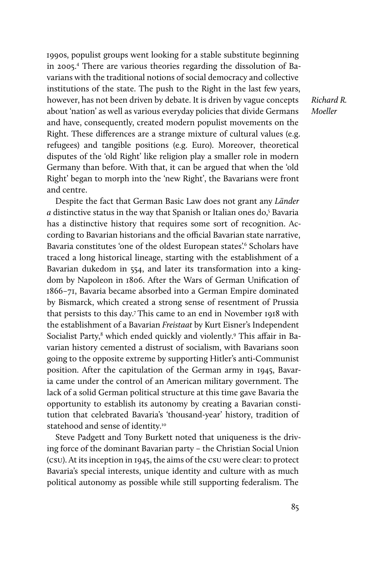1990s, populist groups went looking for a stable substitute beginning in 2005.<sup>4</sup> There are various theories regarding the dissolution of Bavarians with the traditional notions of social democracy and collective institutions of the state. The push to the Right in the last few years, however, has not been driven by debate. It is driven by vague concepts about 'nation' as well as various everyday policies that divide Germans and have, consequently, created modern populist movements on the Right. These differences are a strange mixture of cultural values (e.g. refugees) and tangible positions (e.g. Euro). Moreover, theoretical disputes of the 'old Right' like religion play a smaller role in modern Germany than before. With that, it can be argued that when the 'old Right' began to morph into the 'new Right', the Bavarians were front and centre.

Despite the fact that German Basic Law does not grant any *Länder* a distinctive status in the way that Spanish or Italian ones do,<sup>5</sup> Bavaria has a distinctive history that requires some sort of recognition. According to Bavarian historians and the official Bavarian state narrative, Bavaria constitutes 'one of the oldest European states'.<sup>6</sup> Scholars have traced a long historical lineage, starting with the establishment of a Bavarian dukedom in 554, and later its transformation into a kingdom by Napoleon in 1806. After the Wars of German Unification of 1866–71, Bavaria became absorbed into a German Empire dominated by Bismarck, which created a strong sense of resentment of Prussia that persists to this day.7 This came to an end in November 1918 with the establishment of a Bavarian *Freistaat* by Kurt Eisner's Independent Socialist Party,<sup>8</sup> which ended quickly and violently.<sup>9</sup> This affair in Bavarian history cemented a distrust of socialism, with Bavarians soon going to the opposite extreme by supporting Hitler's anti-Communist position. After the capitulation of the German army in 1945, Bavaria came under the control of an American military government. The lack of a solid German political structure at this time gave Bavaria the opportunity to establish its autonomy by creating a Bavarian constitution that celebrated Bavaria's 'thousand-year' history, tradition of statehood and sense of identity.<sup>10</sup>

Steve Padgett and Tony Burkett noted that uniqueness is the driving force of the dominant Bavarian party – the Christian Social Union (CSU). At its inception in 1945, the aims of the CSU were clear: to protect Bavaria's special interests, unique identity and culture with as much political autonomy as possible while still supporting federalism. The

*Richard R. Moeller*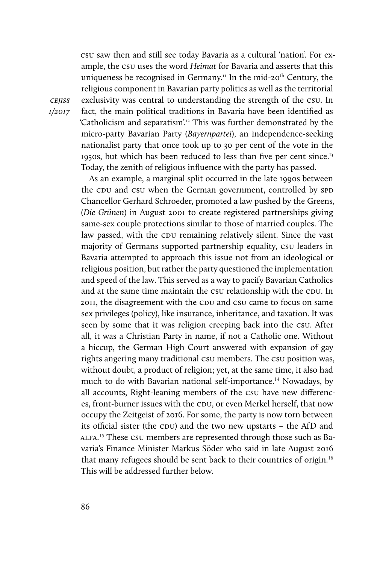CSU saw then and still see today Bavaria as a cultural 'nation'. For example, the CSU uses the word *Heimat* for Bavaria and asserts that this uniqueness be recognised in Germany.<sup>11</sup> In the mid-20<sup>th</sup> Century, the religious component in Bavarian party politics as well as the territorial exclusivity was central to understanding the strength of the CSU. In fact, the main political traditions in Bavaria have been identified as 'Catholicism and separatism'.12 This was further demonstrated by the micro-party Bavarian Party (*Bayernpartei*), an independence-seeking nationalist party that once took up to 30 per cent of the vote in the 1950s, but which has been reduced to less than five per cent since.13 Today, the zenith of religious influence with the party has passed.

As an example, a marginal split occurred in the late 1990s between the CDU and CSU when the German government, controlled by SPD Chancellor Gerhard Schroeder, promoted a law pushed by the Greens, (*Die Grünen*) in August 2001 to create registered partnerships giving same-sex couple protections similar to those of married couples. The law passed, with the CDU remaining relatively silent. Since the vast majority of Germans supported partnership equality, csu leaders in Bavaria attempted to approach this issue not from an ideological or religious position, but rather the party questioned the implementation and speed of the law. This served as a way to pacify Bavarian Catholics and at the same time maintain the CSU relationship with the CDU. In 2011, the disagreement with the CDU and CSU came to focus on same sex privileges (policy), like insurance, inheritance, and taxation. It was seen by some that it was religion creeping back into the CSU. After all, it was a Christian Party in name, if not a Catholic one. Without a hiccup, the German High Court answered with expansion of gay rights angering many traditional CSU members. The CSU position was, without doubt, a product of religion; yet, at the same time, it also had much to do with Bavarian national self-importance.14 Nowadays, by all accounts, Right-leaning members of the CSU have new differences, front-burner issues with the CDU, or even Merkel herself, that now occupy the Zeitgeist of 2016. For some, the party is now torn between its official sister (the CDU) and the two new upstarts – the AfD and ALFA. 15 These CSU members are represented through those such as Bavaria's Finance Minister Markus Söder who said in late August 2016 that many refugees should be sent back to their countries of origin.<sup>16</sup> This will be addressed further below.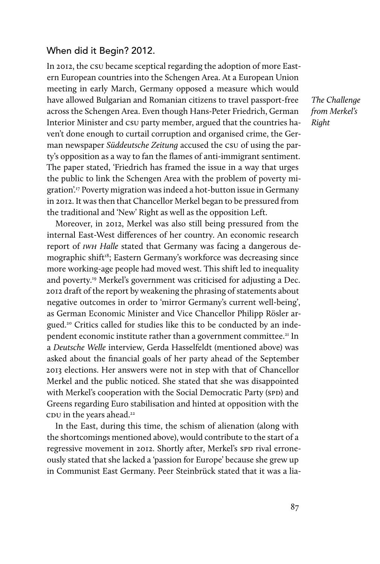#### When did it Begin? 2012.

In 2012, the CSU became sceptical regarding the adoption of more Eastern European countries into the Schengen Area. At a European Union meeting in early March, Germany opposed a measure which would have allowed Bulgarian and Romanian citizens to travel passport-free across the Schengen Area. Even though Hans-Peter Friedrich, German Interior Minister and CSU party member, argued that the countries haven't done enough to curtail corruption and organised crime, the German newspaper *[Süddeutsche Zeitung](http://www.sueddeutsche.de/politik/diskussion-um-schengen-erweiterung-friedrich-betont-schwachstellen-in-bulgarien-und-rumaenien-1.1618174)* accused the CSU of using the party's opposition as a way to fan the flames of anti-immigrant sentiment. The paper stated, 'Friedrich has framed the issue in a way that urges the public to link the Schengen Area with the problem of poverty migration'.17 Poverty migration was indeed a hot-button issue in Germany in 2012. It was then that Chancellor Merkel began to be pressured from the traditional and 'New' Right as well as the opposition Left.

Moreover, in 2012, Merkel was also still being pressured from the internal East-West differences of her country. An economic research report of *IWH Halle* stated that Germany was facing a dangerous demographic shift<sup>18</sup>; Eastern Germany's workforce was decreasing since more working-age people had moved west. This shift led to inequality and poverty.19 Merkel's government was criticised for adjusting a Dec. 2012 draft of the report by weakening the phrasing of statements about negative outcomes in order to 'mirror Germany's current well-being', as German Economic Minister and Vice Chancellor Philipp Rösler argued.20 Critics called for studies like this to be conducted by an independent economic institute rather than a government committee.<sup>21</sup> In a *Deutsche Welle* interview, Gerda Hasselfeldt (mentioned above) was asked about the financial goals of her party ahead of the September 2013 elections. Her answers were not in step with that of Chancellor Merkel and the public noticed. She stated that she was disappointed with Merkel's cooperation with the Social Democratic Party (SPD) and Greens regarding Euro stabilisation and hinted at opposition with the CDU in the years ahead.<sup>22</sup>

In the East, during this time, the schism of alienation (along with the shortcomings mentioned above), would contribute to the start of a regressive movement in 2012. Shortly after, Merkel's SPD rival erroneously stated that she lacked a 'passion for Europe' because she grew up in Communist East Germany. Peer Steinbrück stated that it was a lia-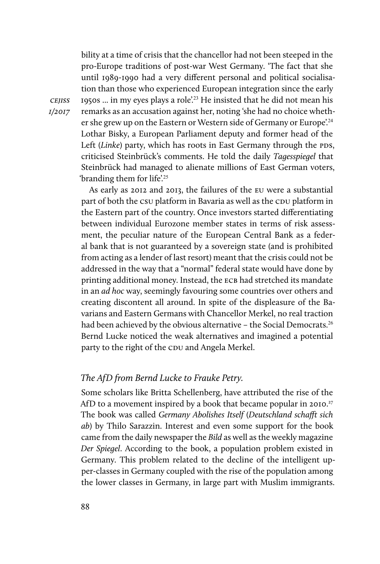bility at a time of crisis that the chancellor had not been steeped in the pro-Europe traditions of post-war West Germany. 'The fact that she until 1989-1990 had a very different personal and political socialisation than those who experienced European integration since the early 1950s ... in my eyes plays a role'.23 He insisted that he did not mean his remarks as an accusation against her, noting 'she had no choice whether she grew up on the Eastern or Western side of Germany or Europe'.<sup>24</sup> Lothar Bisky, a European Parliament deputy and former head of the Left (*Linke*) party, which has roots in East Germany through the PDS, criticised Steinbrück's comments. He told the daily *Tagesspiegel* that Steinbrück had managed to alienate millions of East German voters, 'branding them for life'.<sup>25</sup>

As early as 2012 and 2013, the failures of the EU were a substantial part of both the CSU platform in Bavaria as well as the CDU platform in the Eastern part of the country. Once investors started differentiating between individual Eurozone member states in terms of risk assessment, the peculiar nature of the European Central Bank as a federal bank that is not guaranteed by a sovereign state (and is prohibited from acting as a lender of last resort) meant that the crisis could not be addressed in the way that a "normal" federal state would have done by printing additional money. Instead, the ECB had stretched its mandate in an *ad hoc* way, seemingly favouring some countries over others and creating discontent all around. In spite of the displeasure of the Bavarians and Eastern Germans with Chancellor Merkel, no real traction had been achieved by the obvious alternative - the Social Democrats.<sup>26</sup> Bernd Lucke noticed the weak alternatives and imagined a potential party to the right of the CDU and Angela Merkel.

#### *The AfD from Bernd Lucke to Frauke Petry.*

Some scholars like Britta Schellenberg, have attributed the rise of the AfD to a movement inspired by a book that became popular in 2010.<sup>27</sup> The book was called *Germany Abolishes Itself* (*Deutschland schafft sich ab*) by Thilo Sarazzin. Interest and even some support for the book came from the daily newspaper the *Bild* as well as the weekly magazine *Der Spiegel*. According to the book, a population problem existed in Germany. This problem related to the decline of the intelligent upper-classes in Germany coupled with the rise of the population among the lower classes in Germany, in large part with Muslim immigrants.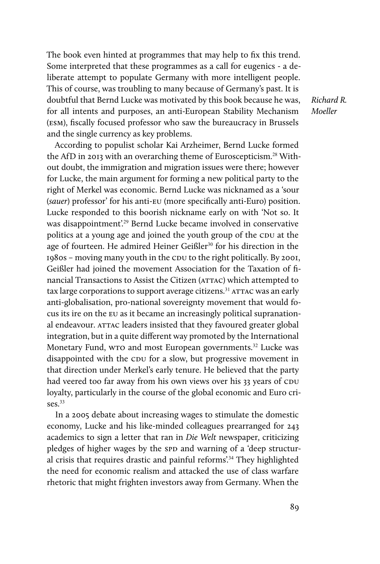The book even hinted at programmes that may help to fix this trend. Some interpreted that these programmes as a call for eugenics - a deliberate attempt to populate Germany with more intelligent people. This of course, was troubling to many because of Germany's past. It is doubtful that Bernd Lucke was motivated by this book because he was, for all intents and purposes, an anti-European Stability Mechanism (ESM), fiscally focused professor who saw the bureaucracy in Brussels and the single currency as key problems.

*Richard R. Moeller*

According to populist scholar Kai Arzheimer, Bernd Lucke formed the AfD in 2013 with an overarching theme of Euroscepticism.28 Without doubt, the immigration and migration issues were there; however for Lucke, the main argument for forming a new political party to the right of Merkel was economic. Bernd Lucke was nicknamed as a 'sour (*sauer*) professor' for his anti-EU (more specifically anti-Euro) position. Lucke responded to this boorish nickname early on with 'Not so. It was disappointment<sup>'29</sup> Bernd Lucke became involved in conservative politics at a young age and joined the youth group of the CDU at the age of fourteen. He admired Heiner Geißler<sup>30</sup> for his direction in the 1980s – moving many youth in the CDU to the right politically. By 2001, Geißler had joined the movement Association for the Taxation of financial Transactions to Assist the Citizen (ATTAC) which attempted to tax large corporations to support average citizens.<sup>31</sup> ATTAC was an early anti-globalisation, pro-national sovereignty movement that would focus its ire on the EU as it became an increasingly political supranational endeavour. ATTAC leaders insisted that they favoured greater global integration, but in a quite different way promoted by the International Monetary Fund, wro and most European governments.<sup>32</sup> Lucke was disappointed with the CDU for a slow, but progressive movement in that direction under Merkel's early tenure. He believed that the party had veered too far away from his own views over his 33 years of CDU loyalty, particularly in the course of the global economic and Euro crises.<sup>33</sup>

In a 2005 debate about increasing wages to stimulate the domestic economy, Lucke and his like-minded colleagues prearranged for 243 academics to sign a letter that ran in *Die Welt* newspaper, criticizing pledges of higher wages by the SPD and warning of a 'deep structural crisis that requires drastic and painful reforms'.<sup>34</sup> They highlighted the need for economic realism and attacked the use of class warfare rhetoric that might frighten investors away from Germany. When the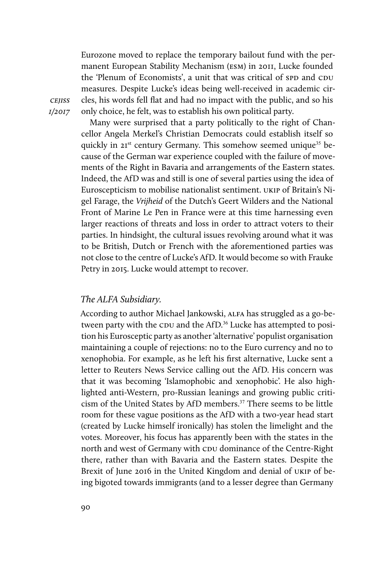Eurozone moved to replace the temporary bailout fund with the permanent European Stability Mechanism (ESM) in 2011, Lucke founded the 'Plenum of Economists', a unit that was critical of SPD and CDU measures. Despite Lucke's ideas being well-received in academic circles, his words fell flat and had no impact with the public, and so his only choice, he felt, was to establish his own political party.

*cejiss 1/2017*

Many were surprised that a party politically to the right of Chancellor Angela Merkel's Christian Democrats could establish itself so quickly in 21<sup>st</sup> century Germany. This somehow seemed unique<sup>35</sup> because of the German war experience coupled with the failure of movements of the Right in Bavaria and arrangements of the Eastern states. Indeed, the AfD was and still is one of several parties using the idea of Euroscepticism to mobilise nationalist sentiment. UKIP of Britain's Nigel Farage, the *Vrijheid* of the Dutch's Geert Wilders and the National Front of Marine Le Pen in France were at this time harnessing even larger reactions of threats and loss in order to attract voters to their parties. In hindsight, the cultural issues revolving around what it was to be British, Dutch or French with the aforementioned parties was not close to the centre of Lucke's AfD. It would become so with Frauke Petry in 2015. Lucke would attempt to recover.

#### *The ALFA Subsidiary.*

According to author Michael Jankowski, ALFA has struggled as a go-between party with the CDU and the AfD.<sup>36</sup> Lucke has attempted to position his Eurosceptic party as another 'alternative' populist organisation maintaining a couple of rejections: no to the Euro currency and no to xenophobia. For example, as he left his first alternative, Lucke sent a letter to Reuters News Service calling out the AfD. His concern was that it was becoming 'Islamophobic and xenophobic'. He also highlighted anti-Western, pro-Russian leanings and growing public criticism of the United States by AfD members.<sup>37</sup> There seems to be little room for these vague positions as the AfD with a two-year head start (created by Lucke himself ironically) has stolen the limelight and the votes. Moreover, his focus has apparently been with the states in the north and west of Germany with CDU dominance of the Centre-Right there, rather than with Bavaria and the Eastern states. Despite the Brexit of June 2016 in the United Kingdom and denial of UKIP of being bigoted towards immigrants (and to a lesser degree than Germany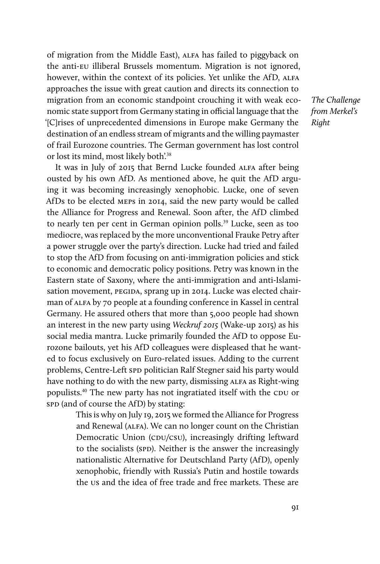of migration from the Middle East), ALFA has failed to piggyback on the anti-EU illiberal Brussels momentum. Migration is not ignored, however, within the context of its policies. Yet unlike the AfD, ALFA approaches the issue with great caution and directs its connection to migration from an economic standpoint crouching it with weak economic state support from Germany stating in official language that the '[C]rises of unprecedented dimensions in Europe make Germany the destination of an endless stream of migrants and the willing paymaster of frail Eurozone countries. The German government has lost control or lost its mind, most likely both'.<sup>38</sup>

It was in July of 2015 that Bernd Lucke founded ALFA after being ousted by his own AfD. As mentioned above, he quit the AfD arguing it was becoming increasingly xenophobic. Lucke, one of seven AfDs to be elected MEPs in 2014, said the new party would be called the Alliance for Progress and Renewal. Soon after, the AfD climbed to nearly ten per cent in German opinion polls.<sup>39</sup> Lucke, seen as too mediocre, was replaced by the more unconventional Frauke Petry after a power struggle over the party's direction. Lucke had tried and failed to stop the AfD from focusing on anti-immigration policies and stick to economic and democratic policy positions. Petry was known in the Eastern state of Saxony, where the anti-immigration and anti-Islamisation movement, PEGIDA, sprang up in 2014. Lucke was elected chairman of ALFA by 70 people at a founding conference in Kassel in central Germany. He assured others that more than 5,000 people had shown an interest in the new party using *Weckruf 2015* (Wake-up 2015) as his social media mantra. Lucke primarily founded the AfD to oppose Eurozone bailouts, yet his AfD colleagues were displeased that he wanted to focus exclusively on Euro-related issues. Adding to the current problems, Centre-Left SPD politician Ralf Stegner said his party would have nothing to do with the new party, dismissing ALFA as Right-wing populists.40 The new party has not ingratiated itself with the CDU or SPD (and of course the AfD) by stating:

> This is why on July 19, 2015 we formed the Alliance for Progress and Renewal (ALFA). We can no longer count on the Christian Democratic Union (CDU/CSU), increasingly drifting leftward to the socialists (SPD). Neither is the answer the increasingly nationalistic Alternative for Deutschland Party (AfD), openly xenophobic, friendly with Russia's Putin and hostile towards the US and the idea of free trade and free markets. These are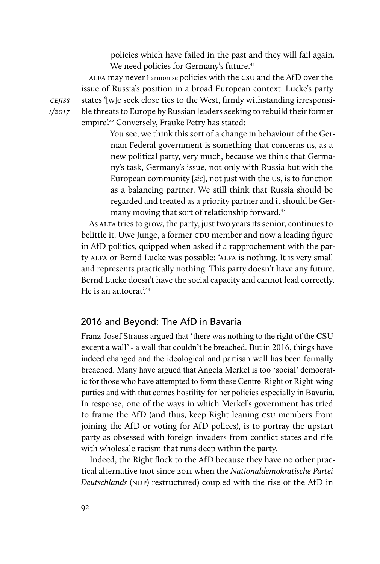policies which have failed in the past and they will fail again. We need policies for Germany's future.<sup>41</sup>

ALFA may never harmonise policies with the CSU and the AfD over the issue of Russia's position in a broad European context. Lucke's party states '[w]e seek close ties to the West, firmly withstanding irresponsible threats to Europe by Russian leaders seeking to rebuild their former empire'.42 Conversely, Frauke Petry has stated:

> You see, we think this sort of a change in behaviour of the German Federal government is something that concerns us, as a new political party, very much, because we think that Germany's task, Germany's issue, not only with Russia but with the European community [sic], not just with the US, is to function as a balancing partner. We still think that Russia should be regarded and treated as a priority partner and it should be Germany moving that sort of relationship forward.<sup>43</sup>

As ALFA tries to grow, the party, just two years its senior, continues to belittle it. Uwe Junge, a former CDU member and now a leading figure in AfD politics, quipped when asked if a rapprochement with the party ALFA or Bernd Lucke was possible: 'ALFA is nothing. It is very small and represents practically nothing. This party doesn't have any future. Bernd Lucke doesn't have the social capacity and cannot lead correctly. He is an autocrat'.<sup>44</sup>

#### 2016 and Beyond: The AfD in Bavaria

Franz-Josef Strauss argued that 'there was nothing to the right of the CSU except a wall' - a wall that couldn't be breached. But in 2016, things have indeed changed and the ideological and partisan wall has been formally breached. Many have argued that Angela Merkel is too 'social' democratic for those who have attempted to form these Centre-Right or Right-wing parties and with that comes hostility for her policies especially in Bavaria. In response, one of the ways in which Merkel's government has tried to frame the AfD (and thus, keep Right-leaning CSU members from joining the AfD or voting for AfD polices), is to portray the upstart party as obsessed with foreign invaders from conflict states and rife with wholesale racism that runs deep within the party.

Indeed, the Right flock to the AfD because they have no other practical alternative (not since 2011 when the *Nationaldemokratische Partei Deutschlands* (NDP) restructured) coupled with the rise of the AfD in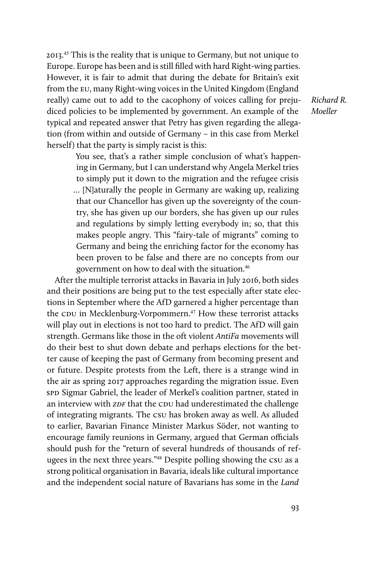2013.45 This is the reality that is unique to Germany, but not unique to Europe. Europe has been and is still filled with hard Right-wing parties. However, it is fair to admit that during the debate for Britain's exit from the EU, many Right-wing voices in the United Kingdom (England really) came out to add to the cacophony of voices calling for prejudiced policies to be implemented by government. An example of the typical and repeated answer that Petry has given regarding the allegation (from within and outside of Germany – in this case from Merkel herself) that the party is simply racist is this:

*Richard R. Moeller*

You see, that's a rather simple conclusion of what's happening in Germany, but I can understand why Angela Merkel tries to simply put it down to the migration and the refugee crisis … [N]aturally the people in Germany are waking up, realizing that our Chancellor has given up the sovereignty of the country, she has given up our borders, she has given up our rules and regulations by simply letting everybody in; so, that this makes people angry. This "fairy-tale of migrants" coming to Germany and being the enriching factor for the economy has been proven to be false and there are no concepts from our government on how to deal with the situation.<sup>46</sup>

After the multiple terrorist attacks in Bavaria in July 2016, both sides and their positions are being put to the test especially after state elections in September where the AfD garnered a higher percentage than the CDU in Mecklenburg-Vorpommern.<sup>47</sup> How these terrorist attacks will play out in elections is not too hard to predict. The AfD will gain strength. Germans like those in the oft violent *AntiFa* movements will do their best to shut down debate and perhaps elections for the better cause of keeping the past of Germany from becoming present and or future. Despite protests from the Left, there is a strange wind in the air as spring 2017 approaches regarding the migration issue. Even SPD Sigmar Gabriel, the leader of Merkel's coalition partner, stated in an interview with *ZDF* that the CDU had underestimated the challenge of integrating migrants. The CSU has broken away as well. As alluded to earlier, Bavarian Finance Minister Markus Söder, not wanting to encourage family reunions in Germany, argued that German officials should push for the "return of several hundreds of thousands of refugees in the next three years."48 Despite polling showing the CSU as a strong political organisation in Bavaria, ideals like cultural importance and the independent social nature of Bavarians has some in the *Land*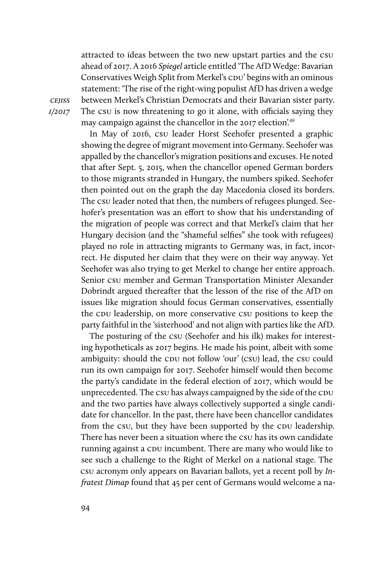attracted to ideas between the two new upstart parties and the CSU ahead of 2017. A 2016 *Spiegel* article entitled 'The AfD Wedge: Bavarian Conservatives Weigh Split from Merkel's CDU' begins with an ominous statement: 'The rise of the right-wing populist AfD has driven a wedge between Merkel's Christian Democrats and their Bavarian sister party. The CSU is now threatening to go it alone, with officials saying they may campaign against the chancellor in the 2017 election'.<sup>49</sup>

In May of 2016, CSU leader Horst Seehofer presented a graphic showing the degree of migrant movement into Germany. Seehofer was appalled by the chancellor's migration positions and excuses. He noted that after Sept. 5, 2015, when the chancellor opened German borders to those migrants stranded in Hungary, the numbers spiked. Seehofer then pointed out on the graph the day Macedonia closed its borders. The CSU leader noted that then, the numbers of refugees plunged. Seehofer's presentation was an effort to show that his understanding of the migration of people was correct and that Merkel's claim that her Hungary decision (and the "shameful selfies" she took with refugees) played no role in attracting migrants to Germany was, in fact, incorrect. He disputed her claim that they were on their way anyway. Yet Seehofer was also trying to get Merkel to change her entire approach. Senior CSU member and German Transportation Minister Alexander Dobrindt argued thereafter that the lesson of the rise of the AfD on issues like migration should focus German conservatives, essentially the CDU leadership, on more conservative CSU positions to keep the party faithful in the 'sisterhood' and not align with parties like the AfD.

The posturing of the CSU (Seehofer and his ilk) makes for interesting hypotheticals as 2017 begins. He made his point, albeit with some ambiguity: should the CDU not follow 'our' (CSU) lead, the CSU could run its own campaign for 2017. Seehofer himself would then become the party's candidate in the federal election of 2017, which would be unprecedented. The CSU has always campaigned by the side of the CDU and the two parties have always collectively supported a single candidate for chancellor. In the past, there have been chancellor candidates from the csu, but they have been supported by the CDU leadership. There has never been a situation where the CSU has its own candidate running against a CDU incumbent. There are many who would like to see such a challenge to the Right of Merkel on a national stage. The CSU acronym only appears on Bavarian ballots, yet a recent poll by *Infratest Dimap* found that 45 per cent of Germans would welcome a na-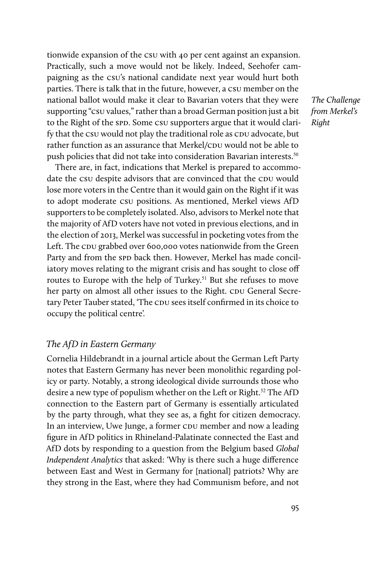tionwide expansion of the CSU with 40 per cent against an expansion. Practically, such a move would not be likely. Indeed, Seehofer campaigning as the CSU's national candidate next year would hurt both parties. There is talk that in the future, however, a CSU member on the national ballot would make it clear to Bavarian voters that they were supporting "CSU values," rather than a broad German position just a bit to the Right of the SPD. Some CSU supporters argue that it would clarify that the CSU would not play the traditional role as CDU advocate, but rather function as an assurance that Merkel/CDU would not be able to push policies that did not take into consideration Bavarian interests.<sup>50</sup>

There are, in fact, indications that Merkel is prepared to accommodate the CSU despite advisors that are convinced that the CDU would lose more voters in the Centre than it would gain on the Right if it was to adopt moderate CSU positions. As mentioned, Merkel views AfD supporters to be completely isolated. Also, advisors to Merkel note that the majority of AfD voters have not voted in previous elections, and in the election of 2013, Merkel was successful in pocketing votes from the Left. The CDU grabbed over 600,000 votes nationwide from the Green Party and from the SPD back then. However, Merkel has made conciliatory moves relating to the migrant crisis and has sought to close off routes to Europe with the help of Turkey.<sup>51</sup> But she refuses to move her party on almost all other issues to the Right. CDU General Secretary Peter Tauber stated, 'The CDU sees itself confirmed in its choice to occupy the political centre'.

*The AfD in Eastern Germany*

Cornelia Hildebrandt in a journal article about the German Left Party notes that Eastern Germany has never been monolithic regarding policy or party. Notably, a strong ideological divide surrounds those who desire a new type of populism whether on the Left or Right.<sup>52</sup> The AfD connection to the Eastern part of Germany is essentially articulated by the party through, what they see as, a fight for citizen democracy. In an interview, Uwe Junge, a former CDU member and now a leading figure in AfD politics in Rhineland-Palatinate connected the East and AfD dots by responding to a question from the Belgium based *Global Independent Analytics* that asked: 'Why is there such a huge difference between East and West in Germany for [national] patriots? Why are they strong in the East, where they had Communism before, and not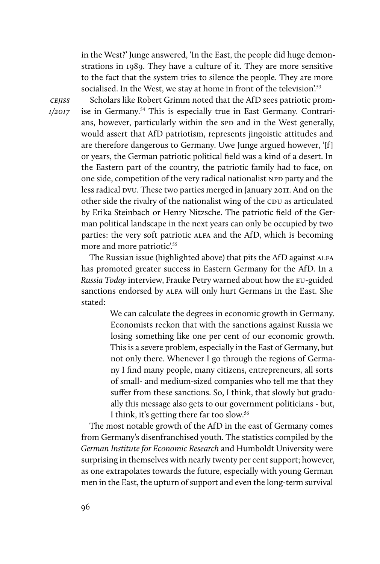in the West?' Junge answered, 'In the East, the people did huge demonstrations in 1989. They have a culture of it. They are more sensitive to the fact that the system tries to silence the people. They are more socialised. In the West, we stay at home in front of the television.<sup>53</sup>

*cejiss 1/2017*

Scholars like Robert Grimm noted that the AfD sees patriotic promise in Germany.<sup>54</sup> This is especially true in East Germany. Contrarians, however, particularly within the SPD and in the West generally, would assert that AfD patriotism, represents jingoistic attitudes and are therefore dangerous to Germany. Uwe Junge argued however, '[f] or years, the German patriotic political field was a kind of a desert. In the Eastern part of the country, the patriotic family had to face, on one side, competition of the very radical nationalist NPD party and the less radical DVU. These two parties merged in January 2011. And on the other side the rivalry of the nationalist wing of the CDU as articulated by Erika Steinbach or Henry Nitzsche. The patriotic field of the German political landscape in the next years can only be occupied by two parties: the very soft patriotic ALFA and the AfD, which is becoming more and more patriotic'.<sup>55</sup>

The Russian issue (highlighted above) that pits the AfD against ALFA has promoted greater success in Eastern Germany for the AfD. In a *Russia Today* interview, Frauke Petry warned about how the EU-guided sanctions endorsed by ALFA will only hurt Germans in the East. She stated:

> We can calculate the degrees in economic growth in Germany. Economists reckon that with the sanctions against Russia we losing something like one per cent of our economic growth. This is a severe problem, especially in the East of Germany, but not only there. Whenever I go through the regions of Germany I find many people, many citizens, entrepreneurs, all sorts of small- and medium-sized companies who tell me that they suffer from these sanctions. So, I think, that slowly but gradually this message also gets to our government politicians - but, I think, it's getting there far too slow.<sup>56</sup>

The most notable growth of the AfD in the east of Germany comes from Germany's disenfranchised youth. The statistics compiled by the *German Institute for Economic Research* and Humboldt University were surprising in themselves with nearly twenty per cent support; however, as one extrapolates towards the future, especially with young German men in the East, the upturn of support and even the long-term survival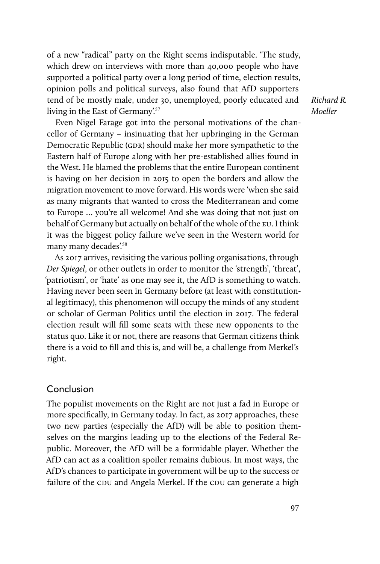of a new "radical" party on the Right seems indisputable. 'The study, which drew on interviews with more than 40,000 people who have supported a political party over a long period of time, election results, opinion polls and political surveys, also found that AfD supporters tend of be mostly male, under 30, unemployed, poorly educated and living in the East of Germany'.<sup>57</sup>

*Richard R. Moeller*

Even Nigel Farage got into the personal motivations of the chancellor of Germany – insinuating that her upbringing in the German Democratic Republic (GDR) should make her more sympathetic to the Eastern half of Europe along with her pre-established allies found in the West. He blamed the problems that the entire European continent is having on her decision in 2015 to open the borders and allow the migration movement to move forward. His words were 'when she said as many migrants that wanted to cross the Mediterranean and come to Europe … you're all welcome! And she was doing that not just on behalf of Germany but actually on behalf of the whole of the EU. I think it was the biggest policy failure we've seen in the Western world for many many decades'.<sup>58</sup>

As 2017 arrives, revisiting the various polling organisations, through *Der Spiegel*, or other outlets in order to monitor the 'strength', 'threat', 'patriotism', or 'hate' as one may see it, the AfD is something to watch. Having never been seen in Germany before (at least with constitutional legitimacy), this phenomenon will occupy the minds of any student or scholar of German Politics until the election in 2017. The federal election result will fill some seats with these new opponents to the status quo. Like it or not, there are reasons that German citizens think there is a void to fill and this is, and will be, a challenge from Merkel's right.

#### Conclusion

The populist movements on the Right are not just a fad in Europe or more specifically, in Germany today. In fact, as 2017 approaches, these two new parties (especially the AfD) will be able to position themselves on the margins leading up to the elections of the Federal Republic. Moreover, the AfD will be a formidable player. Whether the AfD can act as a coalition spoiler remains dubious. In most ways, the AfD's chances to participate in government will be up to the success or failure of the CDU and Angela Merkel. If the CDU can generate a high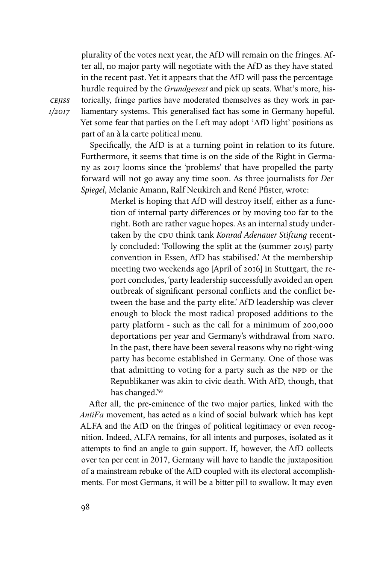plurality of the votes next year, the AfD will remain on the fringes. After all, no major party will negotiate with the AfD as they have stated in the recent past. Yet it appears that the AfD will pass the percentage hurdle required by the *Grundgesezt* and pick up seats. What's more, historically, fringe parties have moderated themselves as they work in parliamentary systems. This generalised fact has some in Germany hopeful. Yet some fear that parties on the Left may adopt 'AfD light' positions as part of an à la carte political menu.

Specifically, the AfD is at a turning point in relation to its future. Furthermore, it seems that time is on the side of the Right in Germany as 2017 looms since the 'problems' that have propelled the party forward will not go away any time soon. As three journalists for *Der Spiegel*, Melanie Amann, Ralf Neukirch and René Pfister, wrote:

> Merkel is hoping that AfD will destroy itself, either as a function of internal party differences or by moving too far to the right. Both are rather vague hopes. As an internal study undertaken by the CDU think tank *Konrad Adenauer Stiftung* recently concluded: 'Following the split at the (summer 2015) party convention in Essen, AfD has stabilised.' At the membership meeting two weekends ago [April of 2016] in Stuttgart, the report concludes, 'party leadership successfully avoided an open outbreak of significant personal conflicts and the conflict between the base and the party elite.' AfD leadership was clever enough to block the most radical proposed additions to the party platform - such as the call for a minimum of 200,000 deportations per year and Germany's withdrawal from NATO. In the past, there have been several reasons why no right-wing party has become established in Germany. One of those was that admitting to voting for a party such as the NPD or the Republikaner was akin to civic death. With AfD, though, that has changed.'59

After all, the pre-eminence of the two major parties, linked with the *AntiFa* movement, has acted as a kind of social bulwark which has kept ALFA and the AfD on the fringes of political legitimacy or even recognition. Indeed, ALFA remains, for all intents and purposes, isolated as it attempts to find an angle to gain support. If, however, the AfD collects over ten per cent in 2017, Germany will have to handle the juxtaposition of a mainstream rebuke of the AfD coupled with its electoral accomplishments. For most Germans, it will be a bitter pill to swallow. It may even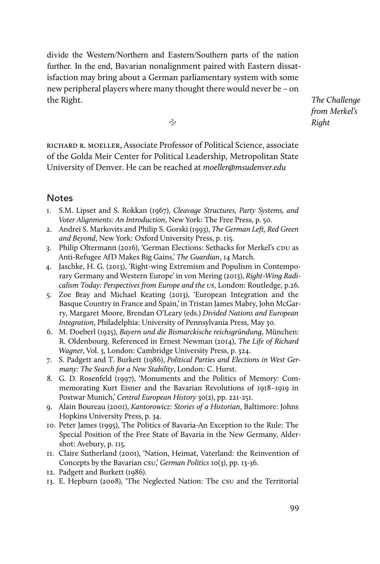divide the Western/Northern and Eastern/Southern parts of the nation further. In the end, Bavarian nonalignment paired with Eastern dissatisfaction may bring about a German parliamentary system with some new peripheral players where many thought there would never be – on the Right.

*The Challenge from Merkel's Right*

ς.

richard r. moeller, Associate Professor of Political Science, associate of the Golda Meir Center for Political Leadership, Metropolitan State University of Denver. He can be reached at *moeller@msudenver.edu*

## **Notes**

- 1. S.M. Lipset and S. Rokkan (1967), *Cleavage Structures, Party Systems, and Voter Alignments: An Introduction*, New York: The Free Press, p. 50.
- 2. Andrei S. Markovits and Philip S. Gorski (1993), *The German Left, Red Green and Beyond*, New York: Oxford University Press, p. 115.
- 3. Philip Oltermann (2016), 'German Elections: Setbacks for Merkel's CDU as Anti-Refugee AfD Makes Big Gains,' *The Guardian*, 14 March.
- 4. Jaschke, H. G. (2013), 'Right-wing Extremism and Populism in Contemporary Germany and Western Europe' in von Mering (2013), *Right-Wing Radicalism Today: Perspectives from Europe and the US*, London: Routledge, p.26.
- 5. Zoe Bray and Michael Keating (2013), 'European Integration and the Basque Country in France and Spain,' in Tristan James Mabry, John McGarry, Margaret Moore, Brendan O'Leary (eds.) *Divided Nations and European Integration*, Philadelphia: University of Pennsylvania Press, May 30.
- 6. M. Doeberl (1925), *Bayern und die Bismarckische reichsgründung*, München: R. Oldenbourg. Referenced in Ernest Newman (2014), *The Life of Richard Wagner*, Vol. 3, London: Cambridge University Press, p. 324.
- 7. S. Padgett and T. Burkett (1986), *Political Parties and Elections in West Germany: The Search for a New Stability*, London: C. Hurst.
- 8. G. D. Rosenfeld (1997), 'Monuments and the Politics of Memory: Commemorating Kurt Eisner and the Bavarian Revolutions of 1918–1919 in Postwar Munich,' *Central European History* 30(2), pp. 221-251.
- 9. Alain Boureau (2001), *Kantorowicz: Stories of a Historian*, Baltimore: Johns Hopkins University Press, p. 34.
- 10. Peter James (1995), The Politics of Bavaria-An Exception to the Rule: The Special Position of the Free State of Bavaria in the New Germany, Aldershot: Avebury, p. 115.
- 11. Claire Sutherland (2001), 'Nation, Heimat, Vaterland: the Reinvention of Concepts by the Bavarian CSU,' *German Politics* 10(3), pp. 13-36.
- 12. Padgett and Burkett (1986).
- 13. E. Hepburn (2008), 'The Neglected Nation: The CSU and the Territorial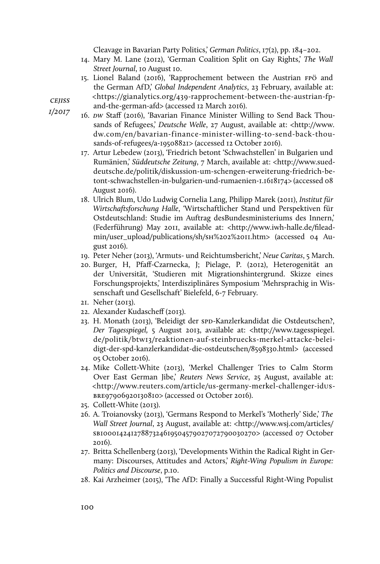Cleavage in Bavarian Party Politics,' *German Politics*, 17(2), pp. 184–202.

- 14. Mary M. Lane (2012), 'German Coalition Split on Gay Rights,' *The Wall Street Journal*, 10 August 10.
- 15. Lionel Baland (2016), 'Rapprochement between the Austrian FPÖ and the German AfD,' *Global Independent Analytics*, 23 February, available at: <https://gianalytics.org/439-rapprochement-between-the-austrian-fp-
- *cejiss 1/2017*
- and-the-german-afd> (accessed 12 March 2016).
	- 16. *DW* Staff (2016), 'Bavarian Finance Minister Willing to Send Back Thousands of Refugees,' *Deutsche Welle*, 27 August, available at: <http://www. dw.com/en/bavarian-finance-minister-willing-to-send-back-thousands-of-refugees/a-19508821> (accessed 12 October 2016).
	- 17. Artur Lebedew (2013), 'Friedrich betont 'Schwachstellen' in Bulgarien und Rumänien,' *Süddeutsche Zeitung*, 7 March, available at: <http://www.sueddeutsche.de/politik/diskussion-um-schengen-erweiterung-friedrich-betont-schwachstellen-in-bulgarien-und-rumaenien-1.1618174> (accessed 08 August 2016).
	- 18. Ulrich Blum, Udo Ludwig Cornelia Lang, Philipp Marek (2011), *Institut für Wirtschaftsforschung Halle*, 'Wirtschaftlicher Stand und Perspektiven für Ostdeutschland: Studie im Auftrag desBundesministeriums des Innern,' (Federführung) May 2011, available at: <http://www.iwh-halle.de/fileadmin/user\_upload/publications/sh/SH%202%2011.htm> (accessed 04 August 2016).
	- 19. Peter Neher (2013), 'Armuts- und Reichtumsbericht,' *Neue Caritas*, 5 March.
	- 20. Burger, H, Pfaff-Czarnecka, J; Pielage, P. (2012), Heterogenität an der Universität, 'Studieren mit Migrationshintergrund. Skizze eines Forschungsprojekts,' Interdisziplinäres Symposium 'Mehrsprachig in Wissenschaft und Gesellschaft' Bielefeld, 6-7 February.
	- 21. Neher (2013).
	- 22. Alexander Kudascheff (2013).
	- 23. H. Monath (2013), 'Beleidigt der SPD-Kanzlerkandidat die Ostdeutschen?, *Der Tagesspiegel,* 5 August 2013, available at: <http://www.tagesspiegel. de/politik/btw13/reaktionen-auf-steinbruecks-merkel-attacke-beleidigt-der-spd-kanzlerkandidat-die-ostdeutschen/8598330.html> (accessed 05 October 2016).
	- 24. Mike Collett-White (2013), 'Merkel Challenger Tries to Calm Storm Over East German Jibe,' *Reuters News Service*, 25 August, available at: <http://www.reuters.com/article/us-germany-merkel-challenger-idUS-BRE97906920130810> (accessed 01 October 2016).
	- 25. Collett-White (2013).
	- 26. A. Troianovsky (2013), 'Germans Respond to Merkel's 'Motherly' Side,' *The Wall Street Journal*, 23 August, available at: <http://www.wsj.com/articles/ SB10001424127887324619504579027072790030270> (accessed 07 October 2016).
	- 27. Britta Schellenberg (2013), 'Developments Within the Radical Right in Germany: Discourses, Attitudes and Actors,' *Right-Wing Populism in Europe: Politics and Discourse*, p.10.
	- 28. Kai Arzheimer (2015), 'The AfD: Finally a Successful Right-Wing Populist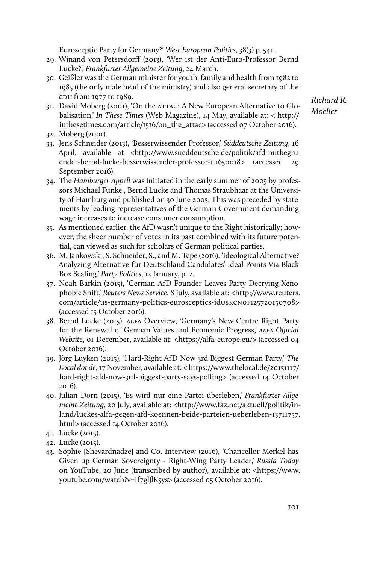Eurosceptic Party for Germany?' *West European Politics*, 38(3) p. 541.

- 29. Winand von Petersdorff (2013), 'Wer ist der Anti-Euro-Professor Bernd Lucke?,' *Frankfurter Allgemeine Zeitung*, 24 March.
- 30. Geißler was the German minister for youth, family and health from 1982 to 1985 (the only male head of the ministry) and also general secretary of the CDU from 1977 to 1989.
- 31. David Moberg (2001), 'On the ATTAC: A New European Alternative to Globalisation,' *In These Times* (Web Magazine), 14 May, available at: < http:// inthesetimes.com/article/1516/on\_the\_attac> (accessed 07 October 2016).
- 32. Moberg (2001).
- 33. Jens Schneider (2013), 'Besserwissender Professor,' *Süddeutsche Zeitung*, 16 April, available at <http://www.sueddeutsche.de/politik/afd-mitbegruender-bernd-lucke-besserwissender-professor-1.1650018> (accessed 29 September 2016).
- 34. The *Hamburger Appell* was initiated in the early summer of 2005 by professors Michael Funke , Bernd Lucke and Thomas Straubhaar at the University of Hamburg and published on 30 June 2005. This was preceded by statements by leading representatives of the German Government demanding wage increases to increase consumer consumption.
- 35. As mentioned earlier, the AfD wasn't unique to the Right historically; however, the sheer number of votes in its past combined with its future potential, can viewed as such for scholars of German political parties.
- 36. M. Jankowski, S. Schneider, S., and M. Tepe (2016). 'Ideological Alternative? Analyzing Alternative für Deutschland Candidates' Ideal Points Via Black Box Scaling.' *Party Politics*, 12 January, p. 2.
- 37. Noah Barkin (2015), 'German AfD Founder Leaves Party Decrying Xenophobic Shift,' *Reuters News Service*, 8 July, available at: <http://www.reuters. com/article/us-germany-politics-eurosceptics-idUSKCN0PI25720150708> (accessed 15 October 2016).
- 38. Bernd Lucke (2015), ALFA Overview, 'Germany's New Centre Right Party for the Renewal of German Values and Economic Progress,' *ALFA Official Website*, 01 December, available at: <https://alfa-europe.eu/> (accessed 04 October 2016).
- 39. Jörg Luyken (2015), 'Hard-Right AfD Now 3rd Biggest German Party,' *The Local dot de*, 17 November, available at: < https://www.thelocal.de/20151117/ hard-right-afd-now-3rd-biggest-party-says-polling> (accessed 14 October 2016).
- 40. Julian Dorn (2015), 'Es wird nur eine Partei überleben,' *Frankfurter Allgemeine Zeitung*, 20 July, available at: <http://www.faz.net/aktuell/politik/inland/luckes-alfa-gegen-afd-koennen-beide-parteien-ueberleben-13711757. html> (accessed 14 October 2016).
- 41. Lucke (2015).
- 42. Lucke (2015).
- 43. Sophie [Shevardnadze] and Co. Interview (2016), 'Chancellor Merkel has Given up German Sovereignty - Right-Wing Party Leader,' *Russia Today* on YouTube, 20 June (transcribed by author), available at: <https://www. youtube.com/watch?v=If7gljlK5ys> (accessed 05 October 2016).

*Richard R. Moeller*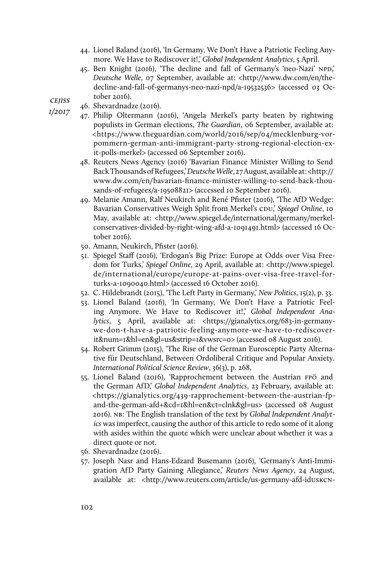- 44. Lionel Baland (2016), 'In Germany, We Don't Have a Patriotic Feeling Anymore. We Have to Rediscover it!,' *Global Independent Analytics*, 5 April.
- 45. Ben Knight (2016), 'The decline and fall of Germany's 'neo-Nazi' NPD,' *Deutsche Welle*, 07 September, available at: <http://www.dw.com/en/thedecline-and-fall-of-germanys-neo-nazi-npd/a-19532536> (accessed 03 October 2016).
- *cejiss*
- *1/2017* 46. Shevardnadze (2016).
	- 47. Philip Oltermann (2016), 'Angela Merkel's party beaten by rightwing populists in German elections, *The Guardian*, 06 September, available at: <https://www.theguardian.com/world/2016/sep/04/mecklenburg-vorpommern-german-anti-immigrant-party-strong-regional-election-exit-polls-merkel> (accessed 06 September 2016).
	- 48. Reuters News Agency (2016) 'Bavarian Finance Minister Willing to Send Back Thousands of Refugees,' *Deutsche Welle*, 27 August, available at: <http:// www.dw.com/en/bavarian-finance-minister-willing-to-send-back-thousands-of-refugees/a-19508821> (accessed 10 September 2016).
	- 49. Melanie Amann, Ralf Neukirch and René Pfister (2016), 'The AfD Wedge: Bavarian Conservatives Weigh Split from Merkel's CDU,' *Spiegel Online*, 10 May, available at: <http://www.spiegel.de/international/germany/merkelconservatives-divided-by-right-wing-afd-a-1091491.html> (accessed 16 October 2016).
	- 50. Amann, Neukirch, Pfister (2016).
	- 51. Spiegel Staff (2016), 'Erdogan's Big Prize: Europe at Odds over Visa Freedom for Turks,' *Spiegel Online*, 29 April, available at: <http://www.spiegel. de/international/europe/europe-at-pains-over-visa-free-travel-forturks-a-1090040.html> (accessed 16 October 2016).
	- 52. C. Hildebrandt (2015), 'The Left Party in Germany,' *New Politics*, 15(2), p. 33.
	- 53. Lionel Baland (2016), 'In Germany, We Don't Have a Patriotic Feeling Anymore. We Have to Rediscover it!,' *Global Independent Analytics*, 5 April, available at: <https://gianalytics.org/683-in-germanywe-don-t-have-a-patriotic-feeling-anymore-we-have-to-rediscoverit&num=1&hl=en&gl=us&strip=1&vwsrc=0> (accessed 08 August 2016).
	- 54. Robert Grimm (2015), 'The Rise of the German Eurosceptic Party Alternative für Deutschland, Between Ordoliberal Critique and Popular Anxiety. *International Political Science Review*, 36(3), p. 268.
	- 55. Lionel Baland (2016), 'Rapprochement between the Austrian FPÖ and the German AfD,' *Global Independent Analytics*, 23 February, available at: <https://gianalytics.org/439-rapprochement-between-the-austrian-fpand-the-german-afd+&cd=1&hl=en&ct=clnk&gl=us> (accessed 08 August 2016). NB: The English translation of the text by *Global Independent Analytics* was imperfect, causing the author of this article to redo some of it along with asides within the quote which were unclear about whether it was a direct quote or not.
	- 56. Shevardnadze (2016).
	- 57. Joseph Nasr and Hans-Edzard Busemann (2016), 'Germany's Anti-Immigration AfD Party Gaining Allegiance,' *Reuters News Agency*, 24 August, available at: <http://www.reuters.com/article/us-germany-afd-idUSKCN-